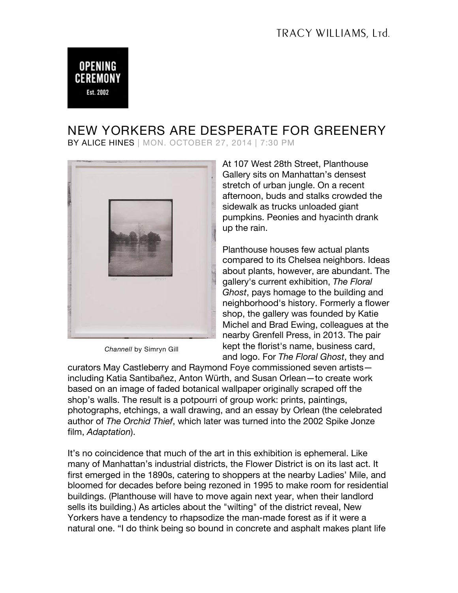## NEW YORKERS ARE DESPERATE FOR GREENERY

BY ALICE HINES | MON. OCTOBER 27, 2014 | 7:30 PM



**OPENING CEREMONY** Est. 2002

*Channell* by Simryn Gill

At 107 West 28th Street, Planthouse Gallery sits on Manhattan's densest stretch of urban jungle. On a recent afternoon, buds and stalks crowded the sidewalk as trucks unloaded giant pumpkins. Peonies and hyacinth drank up the rain.

Planthouse houses few actual plants compared to its Chelsea neighbors. Ideas about plants, however, are abundant. The gallery's current exhibition, *The Floral Ghost*, pays homage to the building and neighborhood's history. Formerly a flower shop, the gallery was founded by Katie Michel and Brad Ewing, colleagues at the nearby Grenfell Press, in 2013. The pair kept the florist's name, business card, and logo. For *The Floral Ghost*, they and

curators May Castleberry and Raymond Foye commissioned seven artists including Katia Santibañez, Anton Würth, and Susan Orlean—to create work based on an image of faded botanical wallpaper originally scraped off the shop's walls. The result is a potpourri of group work: prints, paintings, photographs, etchings, a wall drawing, and an essay by Orlean (the celebrated author of *The Orchid Thief*, which later was turned into the 2002 Spike Jonze film, *Adaptation*).

It's no coincidence that much of the art in this exhibition is ephemeral. Like many of Manhattan's industrial districts, the Flower District is on its last act. It first emerged in the 1890s, catering to shoppers at the nearby Ladies' Mile, and bloomed for decades before being rezoned in 1995 to make room for residential buildings. (Planthouse will have to move again next year, when their landlord sells its building.) As articles about the "wilting" of the district reveal, New Yorkers have a tendency to rhapsodize the man-made forest as if it were a natural one. "I do think being so bound in concrete and asphalt makes plant life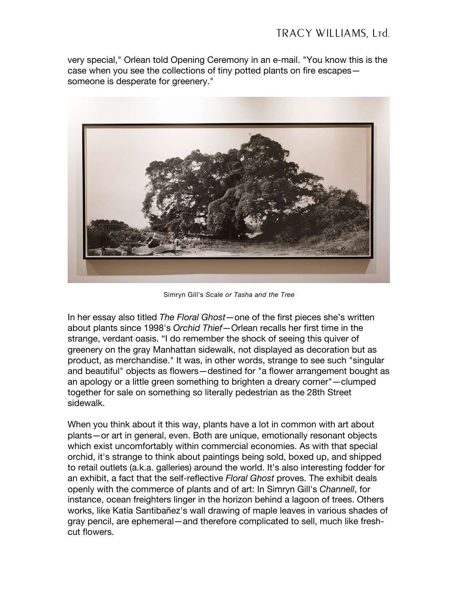## TRACY WILLIAMS, Ltd.

very special," Orlean told Opening Ceremony in an e-mail. "You know this is the case when you see the collections of tiny potted plants on fire escapes someone is desperate for greenery."



Simryn Gill's *Scale or Tasha and the Tree*

In her essay also titled *The Floral Ghost*—one of the first pieces she's written about plants since 1998's *Orchid Thief*—Orlean recalls her first time in the strange, verdant oasis. "I do remember the shock of seeing this quiver of greenery on the gray Manhattan sidewalk, not displayed as decoration but as product, as merchandise." It was, in other words, strange to see such "singular and beautiful" objects as flowers—destined for "a flower arrangement bought as an apology or a little green something to brighten a dreary corner"—clumped together for sale on something so literally pedestrian as the 28th Street sidewalk.

When you think about it this way, plants have a lot in common with art about plants—or art in general, even. Both are unique, emotionally resonant objects which exist uncomfortably within commercial economies. As with that special orchid, it's strange to think about paintings being sold, boxed up, and shipped to retail outlets (a.k.a. galleries) around the world. It's also interesting fodder for an exhibit, a fact that the self-reflective *Floral Ghost* proves. The exhibit deals openly with the commerce of plants and of art: In Simryn Gill's *Channell*, for instance, ocean freighters linger in the horizon behind a lagoon of trees. Others works, like Katia Santibañez's wall drawing of maple leaves in various shades of gray pencil, are ephemeral—and therefore complicated to sell, much like freshcut flowers.